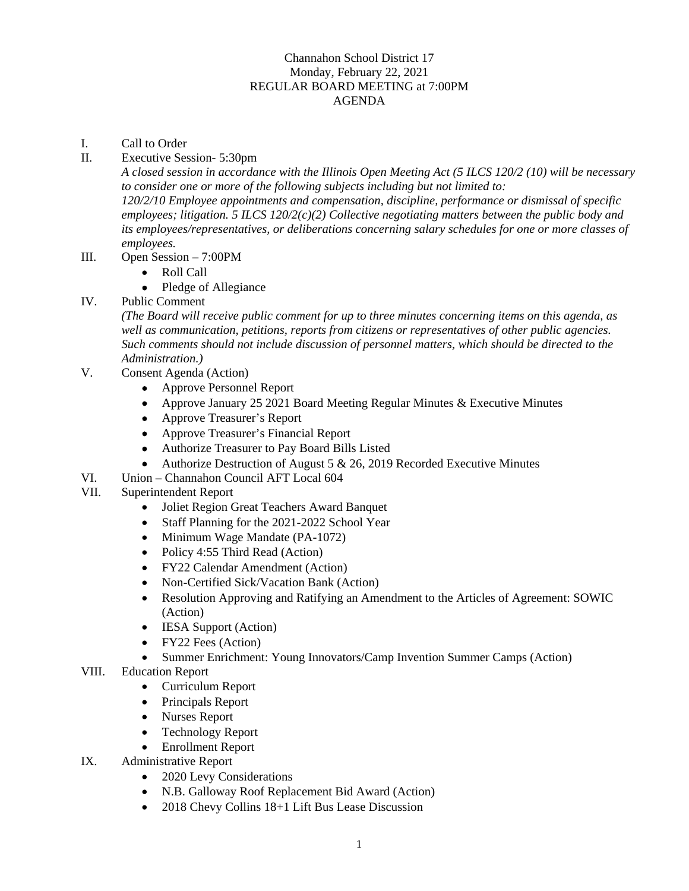## Channahon School District 17 Monday, February 22, 2021 REGULAR BOARD MEETING at 7:00PM AGENDA

- I. Call to Order
- II. Executive Session- 5:30pm

*A closed session in accordance with the Illinois Open Meeting Act (5 ILCS 120/2 (10) will be necessary to consider one or more of the following subjects including but not limited to: 120/2/10 Employee appointments and compensation, discipline, performance or dismissal of specific employees; litigation. 5 ILCS 120/2(c)(2) Collective negotiating matters between the public body and its employees/representatives, or deliberations concerning salary schedules for one or more classes of employees.* 

- III. Open Session 7:00PM
	- Roll Call
	- Pledge of Allegiance
- IV. Public Comment

*(The Board will receive public comment for up to three minutes concerning items on this agenda, as well as communication, petitions, reports from citizens or representatives of other public agencies. Such comments should not include discussion of personnel matters, which should be directed to the Administration.)* 

- V. Consent Agenda (Action)
	- Approve Personnel Report
	- Approve January 25 2021 Board Meeting Regular Minutes & Executive Minutes
	- Approve Treasurer's Report
	- Approve Treasurer's Financial Report
	- Authorize Treasurer to Pay Board Bills Listed
	- Authorize Destruction of August 5  $& 26, 2019$  Recorded Executive Minutes
- VI. Union Channahon Council AFT Local 604
- VII. Superintendent Report
	- Joliet Region Great Teachers Award Banquet
	- Staff Planning for the 2021-2022 School Year
	- Minimum Wage Mandate (PA-1072)
	- Policy 4:55 Third Read (Action)
	- FY22 Calendar Amendment (Action)
	- Non-Certified Sick/Vacation Bank (Action)
	- Resolution Approving and Ratifying an Amendment to the Articles of Agreement: SOWIC (Action)
	- **IESA Support (Action)**
	- FY22 Fees (Action)
	- Summer Enrichment: Young Innovators/Camp Invention Summer Camps (Action)
- VIII. Education Report
	- Curriculum Report
	- Principals Report
	- Nurses Report
	- Technology Report
	- Enrollment Report
- IX. Administrative Report
	- 2020 Levy Considerations
	- N.B. Galloway Roof Replacement Bid Award (Action)
	- 2018 Chevy Collins 18+1 Lift Bus Lease Discussion